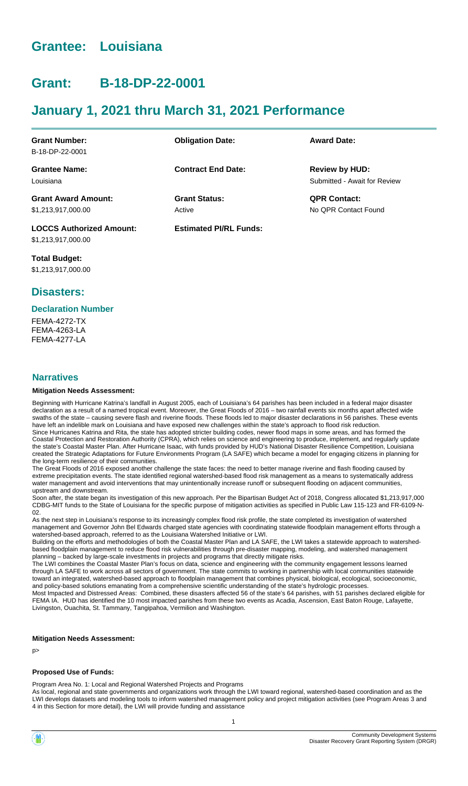# **Grantee: Louisiana**

# **Grant: B-18-DP-22-0001**

# **January 1, 2021 thru March 31, 2021 Performance**

| <b>Grant Number:</b>            | <b>Obligation Date:</b>       | <b>Award Date:</b>           |
|---------------------------------|-------------------------------|------------------------------|
| B-18-DP-22-0001                 |                               |                              |
| <b>Grantee Name:</b>            | <b>Contract End Date:</b>     | <b>Review by HUD:</b>        |
| Louisiana                       |                               | Submitted - Await for Review |
| <b>Grant Award Amount:</b>      | <b>Grant Status:</b>          | <b>QPR Contact:</b>          |
| \$1,213,917,000.00              | Active                        | No OPR Contact Found         |
| <b>LOCCS Authorized Amount:</b> | <b>Estimated PI/RL Funds:</b> |                              |

**Total Budget:** \$1,213,917,000.00

\$1,213,917,000.00

# **Disasters:**

#### **Declaration Number**

FEMA-4272-TX FEMA-4263-LA FEMA-4277-LA

### **Narratives**

#### **Mitigation Needs Assessment:**

Beginning with Hurricane Katrina's landfall in August 2005, each of Louisiana's 64 parishes has been included in a federal major disaster declaration as a result of a named tropical event. Moreover, the Great Floods of 2016 – two rainfall events six months apart affected wide swaths of the state – causing severe flash and riverine floods. These floods led to major disaster declarations in 56 parishes. These events have left an indelible mark on Louisiana and have exposed new challenges within the state's approach to flood risk reduction. Since Hurricanes Katrina and Rita, the state has adopted stricter building codes, newer flood maps in some areas, and has formed the Coastal Protection and Restoration Authority (CPRA), which relies on science and engineering to produce, implement, and regularly update the state's Coastal Master Plan. After Hurricane Isaac, with funds provided by HUD's National Disaster Resilience Competition, Louisiana created the Strategic Adaptations for Future Environments Program (LA SAFE) which became a model for engaging citizens in planning for the long-term resilience of their communities.

The Great Floods of 2016 exposed another challenge the state faces: the need to better manage riverine and flash flooding caused by extreme precipitation events. The state identified regional watershed-based flood risk management as a means to systematically address water management and avoid interventions that may unintentionally increase runoff or subsequent flooding on adjacent communities, upstream and downstream.

Soon after, the state began its investigation of this new approach. Per the Bipartisan Budget Act of 2018, Congress allocated \$1,213,917,000 CDBG-MIT funds to the State of Louisiana for the specific purpose of mitigation activities as specified in Public Law 115-123 and FR-6109-N-02.

As the next step in Louisiana's response to its increasingly complex flood risk profile, the state completed its investigation of watershed management and Governor John Bel Edwards charged state agencies with coordinating statewide floodplain management efforts through a watershed-based approach, referred to as the Louisiana Watershed Initiative or LWI.

Building on the efforts and methodologies of both the Coastal Master Plan and LA SAFE, the LWI takes a statewide approach to watershedbased floodplain management to reduce flood risk vulnerabilities through pre-disaster mapping, modeling, and watershed management planning – backed by large-scale investments in projects and programs that directly mitigate risks.

The LWI combines the Coastal Master Plan's focus on data, science and engineering with the community engagement lessons learned through LA SAFE to work across all sectors of government. The state commits to working in partnership with local communities statewide toward an integrated, watershed-based approach to floodplain management that combines physical, biological, ecological, socioeconomic, and policy-based solutions emanating from a comprehensive scientific understanding of the state's hydrologic processes. Most Impacted and Distressed Areas: Combined, these disasters affected 56 of the state's 64 parishes, with 51 parishes declared eligible for FEMA IA. HUD has identified the 10 most impacted parishes from these two events as Acadia, Ascension, East Baton Rouge, Lafayette,

#### **Mitigation Needs Assessment:**

p>

### **Proposed Use of Funds:**

Program Area No. 1: Local and Regional Watershed Projects and Programs

Livingston, Ouachita, St. Tammany, Tangipahoa, Vermilion and Washington.

As local, regional and state governments and organizations work through the LWI toward regional, watershed-based coordination and as the LWI develops datasets and modeling tools to inform watershed management policy and project mitigation activities (see Program Areas 3 and 4 in this Section for more detail), the LWI will provide funding and assistance

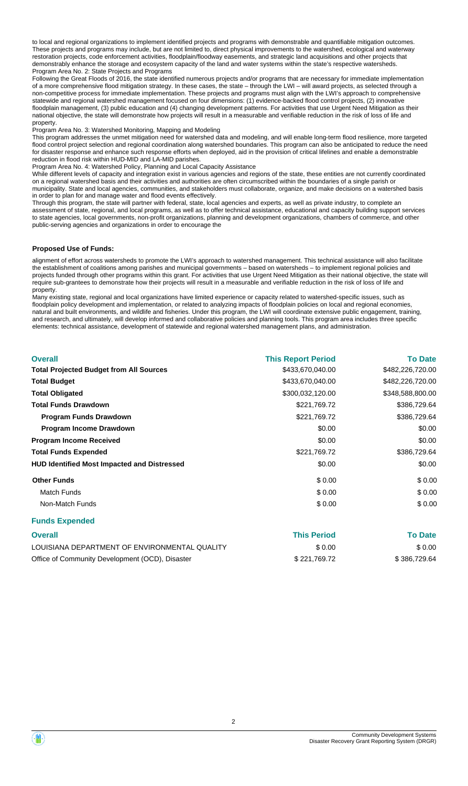to local and regional organizations to implement identified projects and programs with demonstrable and quantifiable mitigation outcomes. These projects and programs may include, but are not limited to, direct physical improvements to the watershed, ecological and waterway restoration projects, code enforcement activities, floodplain/floodway easements, and strategic land acquisitions and other projects that demonstrably enhance the storage and ecosystem capacity of the land and water systems within the state's respective watersheds. Program Area No. 2: State Projects and Programs

Following the Great Floods of 2016, the state identified numerous projects and/or programs that are necessary for immediate implementation of a more comprehensive flood mitigation strategy. In these cases, the state – through the LWI – will award projects, as selected through a non-competitive process for immediate implementation. These projects and programs must align with the LWI's approach to comprehensive statewide and regional watershed management focused on four dimensions: (1) evidence-backed flood control projects, (2) innovative floodplain management, (3) public education and (4) changing development patterns. For activities that use Urgent Need Mitigation as their national objective, the state will demonstrate how projects will result in a measurable and verifiable reduction in the risk of loss of life and property.

Program Area No. 3: Watershed Monitoring, Mapping and Modeling

This program addresses the unmet mitigation need for watershed data and modeling, and will enable long-term flood resilience, more targeted flood control project selection and regional coordination along watershed boundaries. This program can also be anticipated to reduce the need for disaster response and enhance such response efforts when deployed, aid in the provision of critical lifelines and enable a demonstrable reduction in flood risk within HUD-MID and LA-MID parishes.

Program Area No. 4: Watershed Policy, Planning and Local Capacity Assistance

While different levels of capacity and integration exist in various agencies and regions of the state, these entities are not currently coordinated on a regional watershed basis and their activities and authorities are often circumscribed within the boundaries of a single parish or municipality. State and local agencies, communities, and stakeholders must collaborate, organize, and make decisions on a watershed basis in order to plan for and manage water and flood events effectively.

Through this program, the state will partner with federal, state, local agencies and experts, as well as private industry, to complete an assessment of state, regional, and local programs, as well as to offer technical assistance, educational and capacity building support services to state agencies, local governments, non-profit organizations, planning and development organizations, chambers of commerce, and other public-serving agencies and organizations in order to encourage the

#### **Proposed Use of Funds:**

alignment of effort across watersheds to promote the LWI's approach to watershed management. This technical assistance will also facilitate the establishment of coalitions among parishes and municipal governments – based on watersheds – to implement regional policies and projects funded through other programs within this grant. For activities that use Urgent Need Mitigation as their national objective, the state will require sub-grantees to demonstrate how their projects will result in a measurable and verifiable reduction in the risk of loss of life and property.

Many existing state, regional and local organizations have limited experience or capacity related to watershed-specific issues, such as floodplain policy development and implementation, or related to analyzing impacts of floodplain policies on local and regional economies, natural and built environments, and wildlife and fisheries. Under this program, the LWI will coordinate extensive public engagement, training, and research, and ultimately, will develop informed and collaborative policies and planning tools. This program area includes three specific elements: technical assistance, development of statewide and regional watershed management plans, and administration.

| <b>Overall</b>                                     | <b>This Report Period</b> | <b>To Date</b>   |
|----------------------------------------------------|---------------------------|------------------|
| <b>Total Projected Budget from All Sources</b>     | \$433,670,040.00          | \$482,226,720.00 |
| <b>Total Budget</b>                                | \$433,670,040.00          | \$482,226,720.00 |
| <b>Total Obligated</b>                             | \$300,032,120.00          | \$348,588,800.00 |
| <b>Total Funds Drawdown</b>                        | \$221,769.72              | \$386,729.64     |
| <b>Program Funds Drawdown</b>                      | \$221,769.72              | \$386,729.64     |
| Program Income Drawdown                            | \$0.00                    | \$0.00           |
| <b>Program Income Received</b>                     | \$0.00                    | \$0.00           |
| <b>Total Funds Expended</b>                        | \$221,769.72              | \$386,729.64     |
| <b>HUD Identified Most Impacted and Distressed</b> | \$0.00                    | \$0.00           |
| <b>Other Funds</b>                                 | \$0.00                    | \$0.00           |
| <b>Match Funds</b>                                 | \$0.00                    | \$0.00           |
| Non-Match Funds                                    | \$0.00                    | \$0.00           |

#### **Funds Expended**

| <b>Overall</b>                                  | <b>This Period</b> | <b>To Date</b> |
|-------------------------------------------------|--------------------|----------------|
| LOUISIANA DEPARTMENT OF ENVIRONMENTAL QUALITY   | \$0.00             | \$0.00         |
| Office of Community Development (OCD), Disaster | \$221.769.72       | \$386,729.64   |

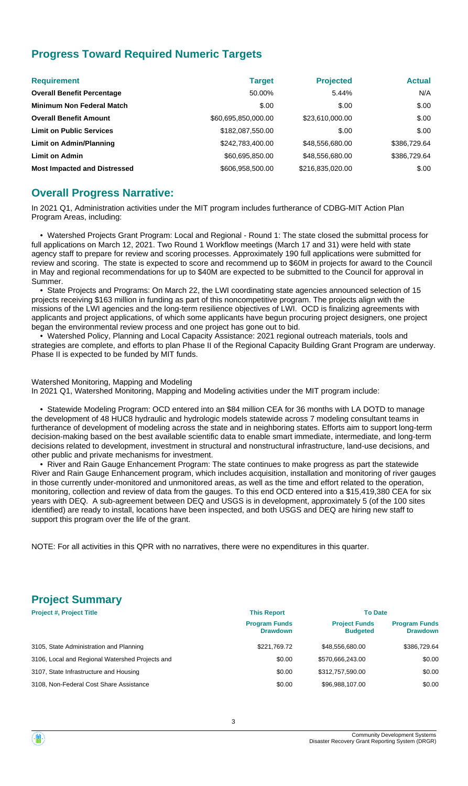# **Progress Toward Required Numeric Targets**

| <b>Requirement</b>                  | <b>Target</b>       | <b>Projected</b> | <b>Actual</b> |
|-------------------------------------|---------------------|------------------|---------------|
| <b>Overall Benefit Percentage</b>   | 50.00%              | 5.44%            | N/A           |
| <b>Minimum Non Federal Match</b>    | \$.00               | \$.00            | \$.00         |
| <b>Overall Benefit Amount</b>       | \$60,695,850,000.00 | \$23,610,000.00  | \$.00         |
| <b>Limit on Public Services</b>     | \$182,087,550.00    | \$.00            | \$.00         |
| Limit on Admin/Planning             | \$242,783,400.00    | \$48,556,680.00  | \$386,729.64  |
| <b>Limit on Admin</b>               | \$60,695,850.00     | \$48,556,680.00  | \$386,729.64  |
| <b>Most Impacted and Distressed</b> | \$606,958,500.00    | \$216,835,020.00 | \$.00         |

# **Overall Progress Narrative:**

In 2021 Q1, Administration activities under the MIT program includes furtherance of CDBG-MIT Action Plan Program Areas, including:

 • Watershed Projects Grant Program: Local and Regional - Round 1: The state closed the submittal process for full applications on March 12, 2021. Two Round 1 Workflow meetings (March 17 and 31) were held with state agency staff to prepare for review and scoring processes. Approximately 190 full applications were submitted for review and scoring. The state is expected to score and recommend up to \$60M in projects for award to the Council in May and regional recommendations for up to \$40M are expected to be submitted to the Council for approval in Summer.

 • State Projects and Programs: On March 22, the LWI coordinating state agencies announced selection of 15 projects receiving \$163 million in funding as part of this noncompetitive program. The projects align with the missions of the LWI agencies and the long-term resilience objectives of LWI. OCD is finalizing agreements with applicants and project applications, of which some applicants have begun procuring project designers, one project began the environmental review process and one project has gone out to bid.

 • Watershed Policy, Planning and Local Capacity Assistance: 2021 regional outreach materials, tools and strategies are complete, and efforts to plan Phase II of the Regional Capacity Building Grant Program are underway. Phase II is expected to be funded by MIT funds.

Watershed Monitoring, Mapping and Modeling In 2021 Q1, Watershed Monitoring, Mapping and Modeling activities under the MIT program include:

 • Statewide Modeling Program: OCD entered into an \$84 million CEA for 36 months with LA DOTD to manage the development of 48 HUC8 hydraulic and hydrologic models statewide across 7 modeling consultant teams in furtherance of development of modeling across the state and in neighboring states. Efforts aim to support long-term decision-making based on the best available scientific data to enable smart immediate, intermediate, and long-term decisions related to development, investment in structural and nonstructural infrastructure, land-use decisions, and other public and private mechanisms for investment.

 • River and Rain Gauge Enhancement Program: The state continues to make progress as part the statewide River and Rain Gauge Enhancement program, which includes acquisition, installation and monitoring of river gauges in those currently under-monitored and unmonitored areas, as well as the time and effort related to the operation, monitoring, collection and review of data from the gauges. To this end OCD entered into a \$15,419,380 CEA for six years with DEQ. A sub-agreement between DEQ and USGS is in development, approximately 5 (of the 100 sites identified) are ready to install, locations have been inspected, and both USGS and DEQ are hiring new staff to support this program over the life of the grant.

NOTE: For all activities in this QPR with no narratives, there were no expenditures in this quarter.

# **Project Summary**

| <b>Project #, Project Title</b>                 | <b>This Report</b>                      | <b>To Date</b>                          |                                         |
|-------------------------------------------------|-----------------------------------------|-----------------------------------------|-----------------------------------------|
|                                                 | <b>Program Funds</b><br><b>Drawdown</b> | <b>Project Funds</b><br><b>Budgeted</b> | <b>Program Funds</b><br><b>Drawdown</b> |
| 3105, State Administration and Planning         | \$221.769.72                            | \$48,556,680.00                         | \$386,729.64                            |
| 3106, Local and Regional Watershed Projects and | \$0.00                                  | \$570.666.243.00                        | \$0.00                                  |
| 3107, State Infrastructure and Housing          | \$0.00                                  | \$312,757,590.00                        | \$0.00                                  |
| 3108, Non-Federal Cost Share Assistance         | \$0.00                                  | \$96,988,107.00                         | \$0.00                                  |

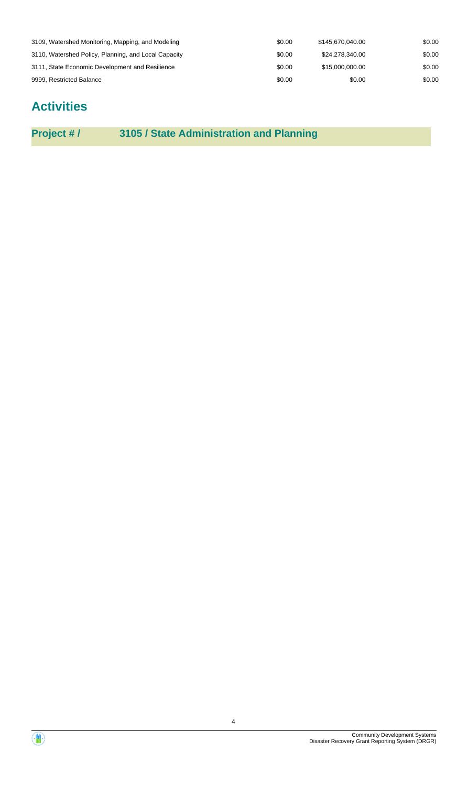| 3109, Watershed Monitoring, Mapping, and Modeling    | \$0.00 | \$145.670.040.00 | \$0.00 |
|------------------------------------------------------|--------|------------------|--------|
| 3110, Watershed Policy, Planning, and Local Capacity | \$0.00 | \$24.278.340.00  | \$0.00 |
| 3111, State Economic Development and Resilience      | \$0.00 | \$15,000,000,00  | \$0.00 |
| 9999, Restricted Balance                             | \$0.00 | \$0.00           | \$0.00 |

# **Activities**

**Project # / 3105 / State Administration and Planning**

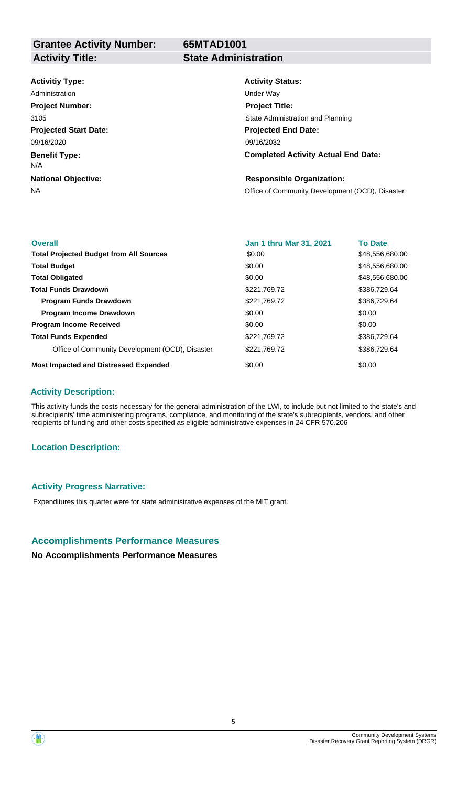**65MTAD1001**

# **Activitiy Type:**

**Projected Start Date: Benefit Type: National Objective:** 09/16/2020 N/A Administration **National Contract Contract Contract Contract Contract Contract Contract Contract Contract Contract Contract Contract Contract Contract Contract Contract Contract Contract Contract Contract Contract Contract Project Number:** 3105

# **Activity Status:**

**Projected End Date: Completed Activity Actual End Date:** 09/16/2032 **Project Title:** State Administration and Planning

### **Responsible Organization:**

NA **NA** Office of Community Development (OCD), Disaster

| <b>Overall</b>                                  | <b>Jan 1 thru Mar 31, 2021</b> | <b>To Date</b>  |
|-------------------------------------------------|--------------------------------|-----------------|
| <b>Total Projected Budget from All Sources</b>  | \$0.00                         | \$48,556,680.00 |
| <b>Total Budget</b>                             | \$0.00                         | \$48,556,680.00 |
| <b>Total Obligated</b>                          | \$0.00                         | \$48,556,680.00 |
| <b>Total Funds Drawdown</b>                     | \$221,769.72                   | \$386,729,64    |
| <b>Program Funds Drawdown</b>                   | \$221,769.72                   | \$386,729.64    |
| <b>Program Income Drawdown</b>                  | \$0.00                         | \$0.00          |
| <b>Program Income Received</b>                  | \$0.00                         | \$0.00          |
| <b>Total Funds Expended</b>                     | \$221,769.72                   | \$386,729.64    |
| Office of Community Development (OCD), Disaster | \$221.769.72                   | \$386,729.64    |
| <b>Most Impacted and Distressed Expended</b>    | \$0.00                         | \$0.00          |

### **Activity Description:**

This activity funds the costs necessary for the general administration of the LWI, to include but not limited to the state's and subrecipients' time administering programs, compliance, and monitoring of the state's subrecipients, vendors, and other recipients of funding and other costs specified as eligible administrative expenses in 24 CFR 570.206

# **Location Description:**

### **Activity Progress Narrative:**

Expenditures this quarter were for state administrative expenses of the MIT grant.

# **Accomplishments Performance Measures**

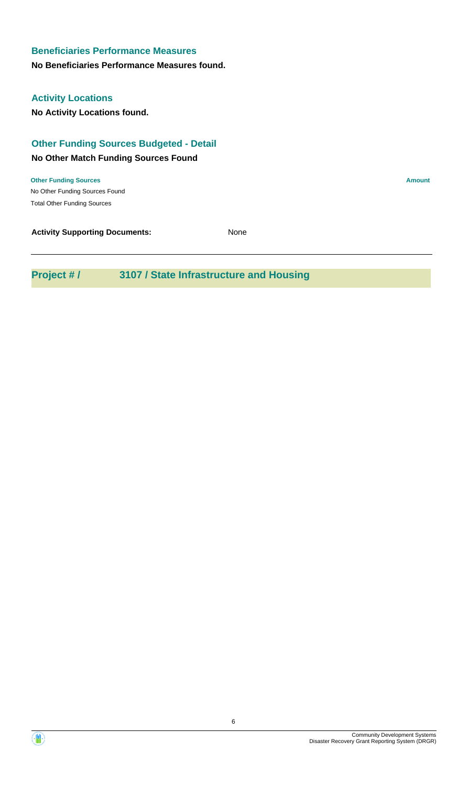**No Beneficiaries Performance Measures found.**

# **Activity Locations**

**No Activity Locations found.**

# **Other Funding Sources Budgeted - Detail**

# **No Other Match Funding Sources Found**

No Other Funding Sources Found **Other Funding Sources Amount Amount Amount Amount Amount Amount Amount** Total Other Funding Sources

**Activity Supporting Documents:** None

# **Project # / 3107 / State Infrastructure and Housing**

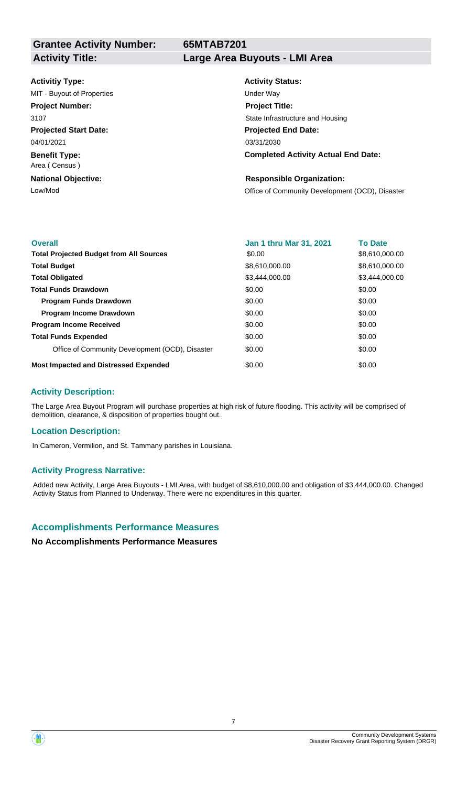**Grantee Activity Number:**

**65MTAB7201**

#### **Activitiy Type:**

**Projected Start Date: Benefit Type:** 04/01/2021 MIT - Buyout of Properties and The Under Way **Project Number:** 3107

Area ( Census )

**National Objective:**

# **Activity Title: Large Area Buyouts - LMI Area**

**Activity Status: Projected End Date: Completed Activity Actual End Date:** 03/31/2030 **Project Title:** State Infrastructure and Housing

### **Responsible Organization:**

Low/Mod Low/Mod Charles Community Development (OCD), Disaster

| <b>Overall</b>                                  | <b>Jan 1 thru Mar 31, 2021</b> | <b>To Date</b> |
|-------------------------------------------------|--------------------------------|----------------|
| <b>Total Projected Budget from All Sources</b>  | \$0.00                         | \$8,610,000.00 |
| <b>Total Budget</b>                             | \$8,610,000.00                 | \$8,610,000.00 |
| <b>Total Obligated</b>                          | \$3,444,000.00                 | \$3,444,000.00 |
| <b>Total Funds Drawdown</b>                     | \$0.00                         | \$0.00         |
| <b>Program Funds Drawdown</b>                   | \$0.00                         | \$0.00         |
| <b>Program Income Drawdown</b>                  | \$0.00                         | \$0.00         |
| <b>Program Income Received</b>                  | \$0.00                         | \$0.00         |
| <b>Total Funds Expended</b>                     | \$0.00                         | \$0.00         |
| Office of Community Development (OCD), Disaster | \$0.00                         | \$0.00         |
| <b>Most Impacted and Distressed Expended</b>    | \$0.00                         | \$0.00         |

### **Activity Description:**

The Large Area Buyout Program will purchase properties at high risk of future flooding. This activity will be comprised of demolition, clearance, & disposition of properties bought out.

### **Location Description:**

In Cameron, Vermilion, and St. Tammany parishes in Louisiana.

### **Activity Progress Narrative:**

Added new Activity, Large Area Buyouts - LMI Area, with budget of \$8,610,000.00 and obligation of \$3,444,000.00. Changed Activity Status from Planned to Underway. There were no expenditures in this quarter.

# **Accomplishments Performance Measures**

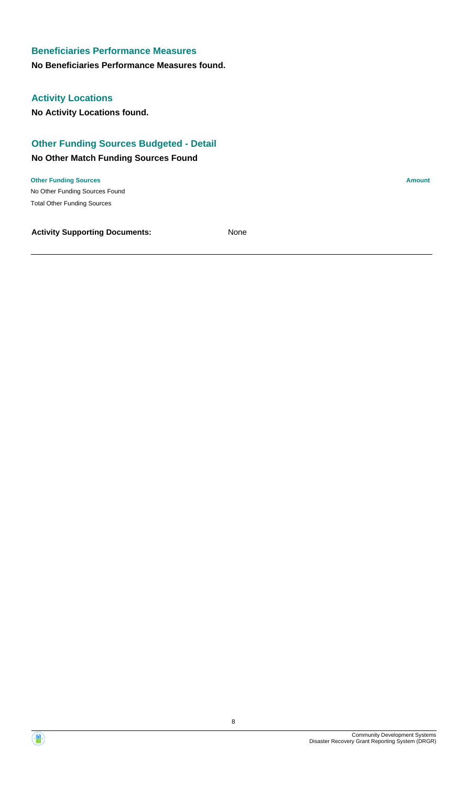### **No Beneficiaries Performance Measures found.**

# **Activity Locations**

**No Activity Locations found.**

# **Other Funding Sources Budgeted - Detail**

## **No Other Match Funding Sources Found**

No Other Funding Sources Found **Other Funding Sources Amount Amount Amount Amount Amount Amount Amount** Total Other Funding Sources

**Activity Supporting Documents:** None

Disaster Recovery Grant Reporting System (DRGR)

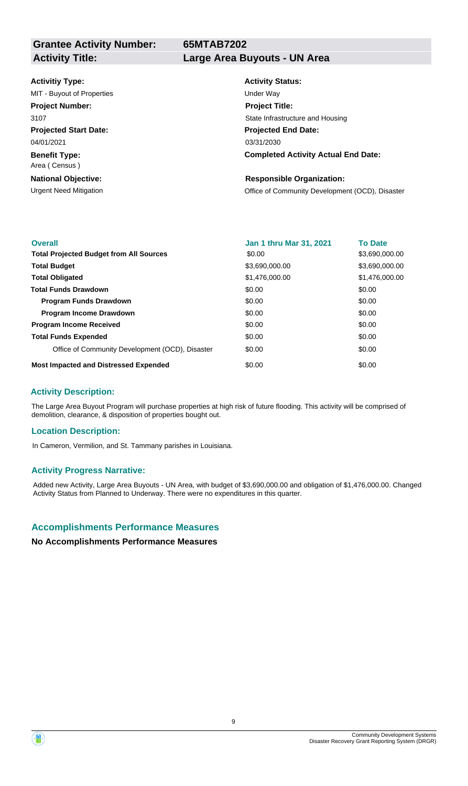**Grantee Activity Number: Activity Title: Large Area Buyouts - UN Area**

**65MTAB7202**

### **Activitiy Type:**

**Projected Start Date:** 04/01/2021 MIT - Buyout of Properties and The Under Way **Project Number:** 3107

**Benefit Type:** Area ( Census )

**National Objective:**

**Activity Status: Projected End Date: Completed Activity Actual End Date:** 03/31/2030 **Project Title:** State Infrastructure and Housing

### **Responsible Organization:**

Urgent Need Mitigation Office of Community Development (OCD), Disaster

| <b>Overall</b>                                  | <b>Jan 1 thru Mar 31, 2021</b> | <b>To Date</b> |
|-------------------------------------------------|--------------------------------|----------------|
| <b>Total Projected Budget from All Sources</b>  | \$0.00                         | \$3,690,000.00 |
| <b>Total Budget</b>                             | \$3,690,000.00                 | \$3,690,000.00 |
| <b>Total Obligated</b>                          | \$1,476,000.00                 | \$1,476,000.00 |
| <b>Total Funds Drawdown</b>                     | \$0.00                         | \$0.00         |
| <b>Program Funds Drawdown</b>                   | \$0.00                         | \$0.00         |
| <b>Program Income Drawdown</b>                  | \$0.00                         | \$0.00         |
| <b>Program Income Received</b>                  | \$0.00                         | \$0.00         |
| <b>Total Funds Expended</b>                     | \$0.00                         | \$0.00         |
| Office of Community Development (OCD), Disaster | \$0.00                         | \$0.00         |
| <b>Most Impacted and Distressed Expended</b>    | \$0.00                         | \$0.00         |

### **Activity Description:**

The Large Area Buyout Program will purchase properties at high risk of future flooding. This activity will be comprised of demolition, clearance, & disposition of properties bought out.

### **Location Description:**

In Cameron, Vermilion, and St. Tammany parishes in Louisiana.

### **Activity Progress Narrative:**

Added new Activity, Large Area Buyouts - UN Area, with budget of \$3,690,000.00 and obligation of \$1,476,000.00. Changed Activity Status from Planned to Underway. There were no expenditures in this quarter.

# **Accomplishments Performance Measures**

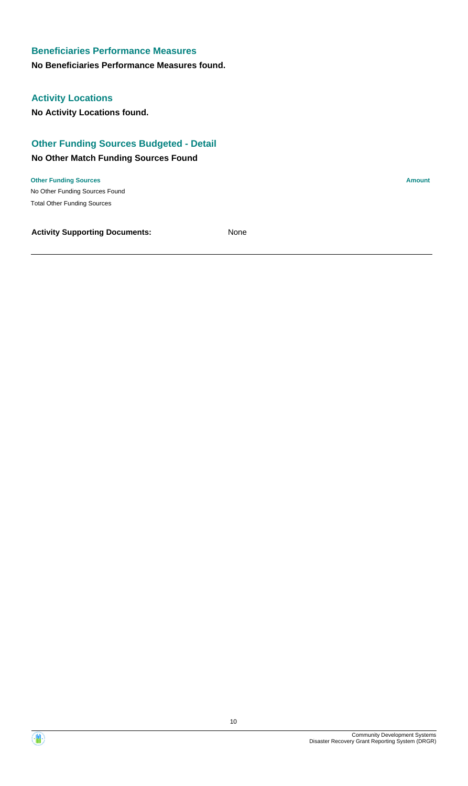### **No Beneficiaries Performance Measures found.**

# **Activity Locations**

**No Activity Locations found.**

# **Other Funding Sources Budgeted - Detail**

### **No Other Match Funding Sources Found**

No Other Funding Sources Found **Other Funding Sources Amount Amount Amount Amount Amount Amount Amount** Total Other Funding Sources

**Activity Supporting Documents:** None

Disaster Recovery Grant Reporting System (DRGR)

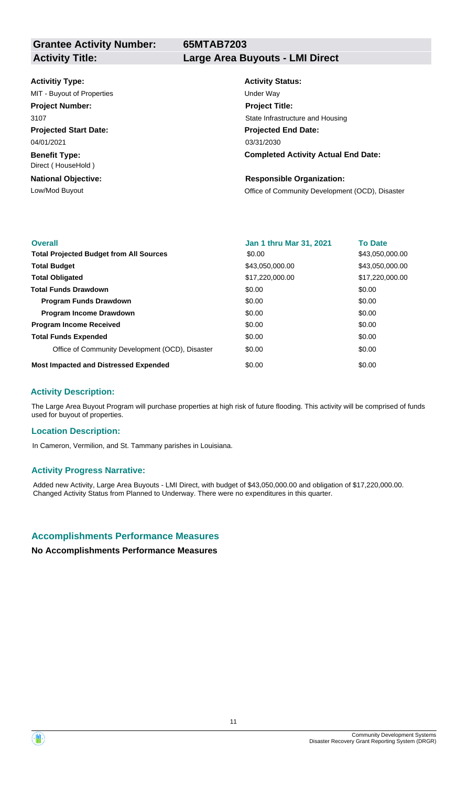**Grantee Activity Number:**

# **65MTAB7203**

# **Activity Title: Large Area Buyouts - LMI Direct**

### **Activitiy Type:**

**Projected Start Date:** 04/01/2021 MIT - Buyout of Properties and The Under Way **Project Number:** 3107

**Benefit Type:** Direct ( HouseHold )

**National Objective:**

**Activity Status: Projected End Date: Completed Activity Actual End Date:** 03/31/2030 **Project Title:** State Infrastructure and Housing

### **Responsible Organization:**

Low/Mod Buyout **Community Development (OCD)**, Disaster

| <b>Overall</b>                                  | <b>Jan 1 thru Mar 31, 2021</b> | <b>To Date</b>  |
|-------------------------------------------------|--------------------------------|-----------------|
| <b>Total Projected Budget from All Sources</b>  | \$0.00                         | \$43,050,000.00 |
| <b>Total Budget</b>                             | \$43,050,000.00                | \$43,050,000.00 |
| <b>Total Obligated</b>                          | \$17,220,000.00                | \$17,220,000.00 |
| <b>Total Funds Drawdown</b>                     | \$0.00                         | \$0.00          |
| <b>Program Funds Drawdown</b>                   | \$0.00                         | \$0.00          |
| <b>Program Income Drawdown</b>                  | \$0.00                         | \$0.00          |
| <b>Program Income Received</b>                  | \$0.00                         | \$0.00          |
| <b>Total Funds Expended</b>                     | \$0.00                         | \$0.00          |
| Office of Community Development (OCD), Disaster | \$0.00                         | \$0.00          |
| <b>Most Impacted and Distressed Expended</b>    | \$0.00                         | \$0.00          |

### **Activity Description:**

The Large Area Buyout Program will purchase properties at high risk of future flooding. This activity will be comprised of funds used for buyout of properties.

### **Location Description:**

In Cameron, Vermilion, and St. Tammany parishes in Louisiana.

### **Activity Progress Narrative:**

Added new Activity, Large Area Buyouts - LMI Direct, with budget of \$43,050,000.00 and obligation of \$17,220,000.00. Changed Activity Status from Planned to Underway. There were no expenditures in this quarter.

# **Accomplishments Performance Measures**

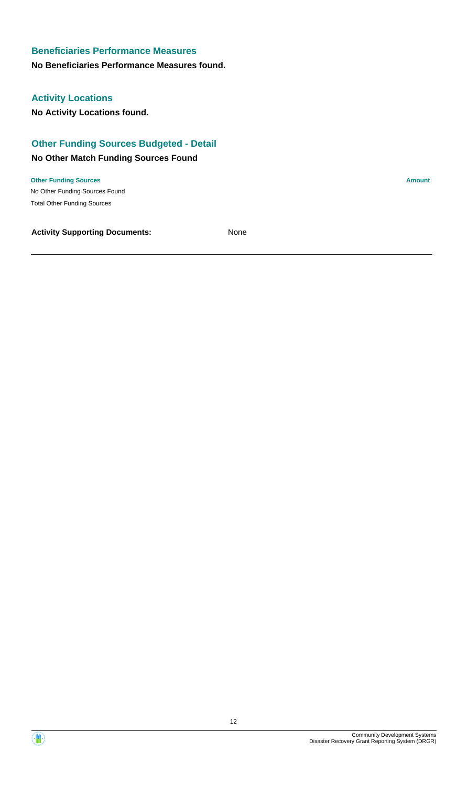### **No Beneficiaries Performance Measures found.**

# **Activity Locations**

**No Activity Locations found.**

# **Other Funding Sources Budgeted - Detail**

### **No Other Match Funding Sources Found**

No Other Funding Sources Found **Other Funding Sources Amount Amount Amount Amount Amount Amount Amount** Total Other Funding Sources

**Activity Supporting Documents:** None

Community Development Systems

Disaster Recovery Grant Reporting System (DRGR)

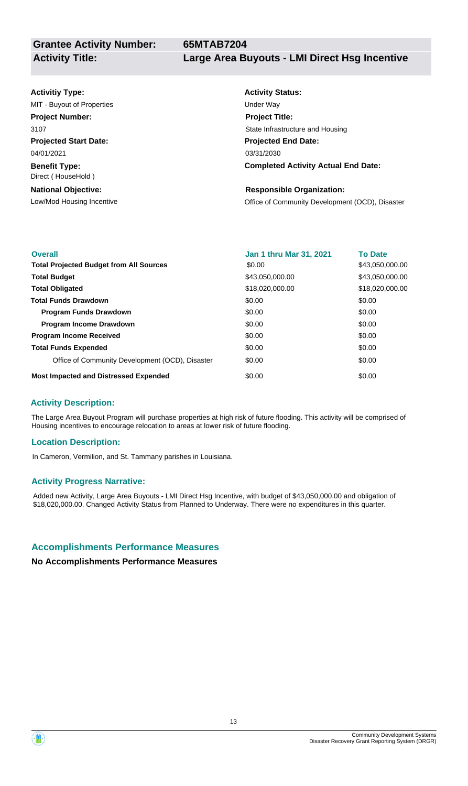### **Activitiy Type:**

**Projected Start Date:** 04/01/2021 MIT - Buyout of Properties and The Under Way **Project Number:** 3107

**Benefit Type:** Direct ( HouseHold )

**National Objective:**

# **Activity Status: Projected End Date: Completed Activity Actual End Date:** 03/31/2030 **Project Title:** State Infrastructure and Housing

### **Responsible Organization:**

Low/Mod Housing Incentive **Community Development (OCD)**, Disaster

| <b>Overall</b>                                  | <b>Jan 1 thru Mar 31, 2021</b> | <b>To Date</b>  |
|-------------------------------------------------|--------------------------------|-----------------|
| <b>Total Projected Budget from All Sources</b>  | \$0.00                         | \$43,050,000.00 |
| <b>Total Budget</b>                             | \$43,050,000.00                | \$43,050,000.00 |
| <b>Total Obligated</b>                          | \$18,020,000.00                | \$18,020,000.00 |
| <b>Total Funds Drawdown</b>                     | \$0.00                         | \$0.00          |
| <b>Program Funds Drawdown</b>                   | \$0.00                         | \$0.00          |
| <b>Program Income Drawdown</b>                  | \$0.00                         | \$0.00          |
| <b>Program Income Received</b>                  | \$0.00                         | \$0.00          |
| <b>Total Funds Expended</b>                     | \$0.00                         | \$0.00          |
| Office of Community Development (OCD), Disaster | \$0.00                         | \$0.00          |
| <b>Most Impacted and Distressed Expended</b>    | \$0.00                         | \$0.00          |

# **Activity Description:**

The Large Area Buyout Program will purchase properties at high risk of future flooding. This activity will be comprised of Housing incentives to encourage relocation to areas at lower risk of future flooding.

### **Location Description:**

In Cameron, Vermilion, and St. Tammany parishes in Louisiana.

### **Activity Progress Narrative:**

Added new Activity, Large Area Buyouts - LMI Direct Hsg Incentive, with budget of \$43,050,000.00 and obligation of \$18,020,000.00. Changed Activity Status from Planned to Underway. There were no expenditures in this quarter.

# **Accomplishments Performance Measures**

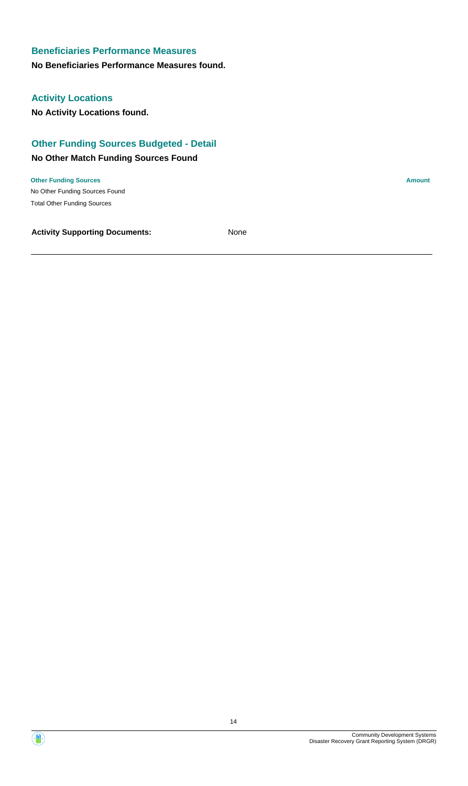### **No Beneficiaries Performance Measures found.**

# **Activity Locations**

**No Activity Locations found.**

# **Other Funding Sources Budgeted - Detail**

### **No Other Match Funding Sources Found**

No Other Funding Sources Found **Other Funding Sources Amount Amount Amount Amount Amount Amount Amount** Total Other Funding Sources

**Activity Supporting Documents:** None

Disaster Recovery Grant Reporting System (DRGR)

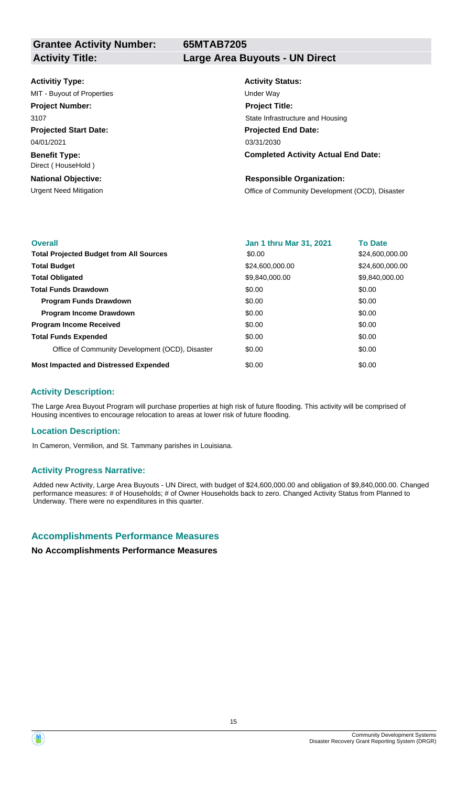**Grantee Activity Number:**

**65MTAB7205**

### **Activitiy Type:**

**Projected Start Date:** 04/01/2021 MIT - Buyout of Properties and The Under Way **Project Number:** 3107

**Benefit Type:** Direct ( HouseHold )

**National Objective:**

### **Activity Title: Large Area Buyouts - UN Direct**

**Activity Status: Projected End Date: Completed Activity Actual End Date:** 03/31/2030 **Project Title:** State Infrastructure and Housing

### **Responsible Organization:**

Urgent Need Mitigation Office of Community Development (OCD), Disaster

| <b>Overall</b>                                  | Jan 1 thru Mar 31, 2021 | <b>To Date</b>  |
|-------------------------------------------------|-------------------------|-----------------|
| <b>Total Projected Budget from All Sources</b>  | \$0.00                  | \$24,600,000.00 |
| <b>Total Budget</b>                             | \$24,600,000.00         | \$24,600,000.00 |
| <b>Total Obligated</b>                          | \$9,840,000.00          | \$9,840,000.00  |
| <b>Total Funds Drawdown</b>                     | \$0.00                  | \$0.00          |
| <b>Program Funds Drawdown</b>                   | \$0.00                  | \$0.00          |
| <b>Program Income Drawdown</b>                  | \$0.00                  | \$0.00          |
| <b>Program Income Received</b>                  | \$0.00                  | \$0.00          |
| <b>Total Funds Expended</b>                     | \$0.00                  | \$0.00          |
| Office of Community Development (OCD), Disaster | \$0.00                  | \$0.00          |
| <b>Most Impacted and Distressed Expended</b>    | \$0.00                  | \$0.00          |

### **Activity Description:**

The Large Area Buyout Program will purchase properties at high risk of future flooding. This activity will be comprised of Housing incentives to encourage relocation to areas at lower risk of future flooding.

### **Location Description:**

In Cameron, Vermilion, and St. Tammany parishes in Louisiana.

### **Activity Progress Narrative:**

Added new Activity, Large Area Buyouts - UN Direct, with budget of \$24,600,000.00 and obligation of \$9,840,000.00. Changed performance measures: # of Households; # of Owner Households back to zero. Changed Activity Status from Planned to Underway. There were no expenditures in this quarter.

# **Accomplishments Performance Measures**



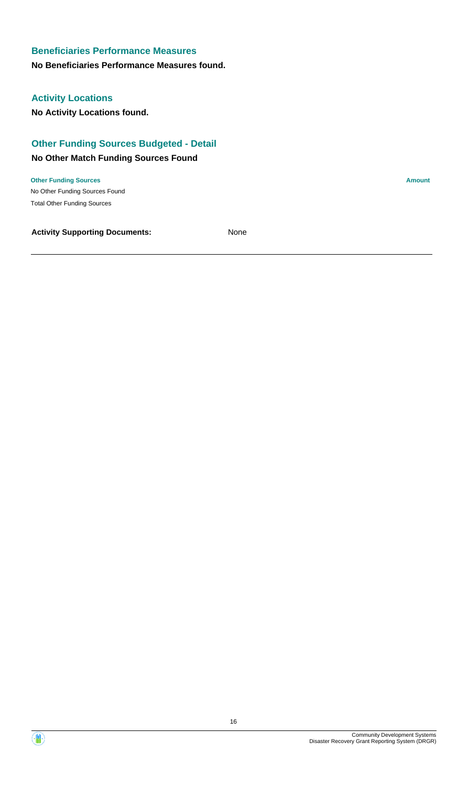### **No Beneficiaries Performance Measures found.**

# **Activity Locations**

**No Activity Locations found.**

# **Other Funding Sources Budgeted - Detail**

### **No Other Match Funding Sources Found**

No Other Funding Sources Found **Other Funding Sources Amount Amount Amount Amount Amount Amount Amount** Total Other Funding Sources

**Activity Supporting Documents:** None

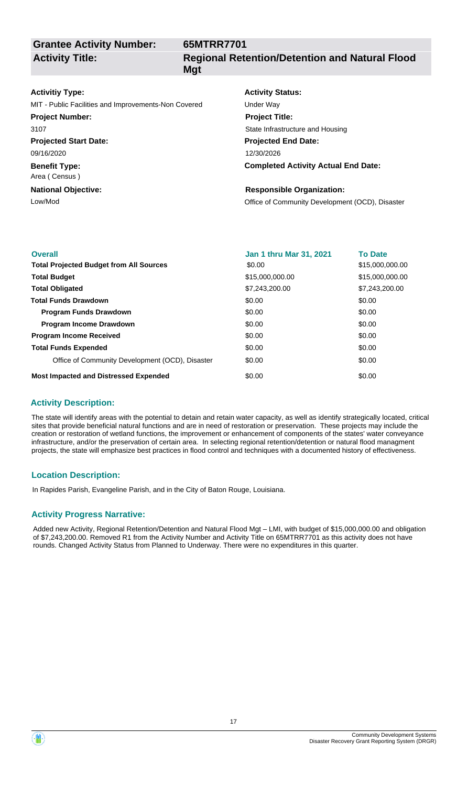**Grantee Activity Number: Activity Title:**

# **65MTRR7701 Regional Retention/Detention and Natural Flood Mgt**

### **Activitiy Type:**

MIT - Public Facilities and Improvements-Non Covered Under Way

### **Project Number:** 3107

**Projected Start Date:**

09/16/2020

**Benefit Type:** Area ( Census )

# **National Objective:**

# **Activity Status: Projected End Date:** 12/30/2026 **Project Title:** State Infrastructure and Housing

# **Completed Activity Actual End Date:**

# **Responsible Organization:**

Low/Mod **Low/Mod Community Development (OCD)**, Disaster

| <b>Overall</b>                                  | Jan 1 thru Mar 31, 2021 | <b>To Date</b>  |
|-------------------------------------------------|-------------------------|-----------------|
| <b>Total Projected Budget from All Sources</b>  | \$0.00                  | \$15,000,000.00 |
| <b>Total Budget</b>                             | \$15,000,000.00         | \$15,000,000.00 |
| <b>Total Obligated</b>                          | \$7,243,200.00          | \$7.243.200.00  |
| <b>Total Funds Drawdown</b>                     | \$0.00                  | \$0.00          |
| <b>Program Funds Drawdown</b>                   | \$0.00                  | \$0.00          |
| <b>Program Income Drawdown</b>                  | \$0.00                  | \$0.00          |
| <b>Program Income Received</b>                  | \$0.00                  | \$0.00          |
| <b>Total Funds Expended</b>                     | \$0.00                  | \$0.00          |
| Office of Community Development (OCD), Disaster | \$0.00                  | \$0.00          |
| <b>Most Impacted and Distressed Expended</b>    | \$0.00                  | \$0.00          |

# **Activity Description:**

The state will identify areas with the potential to detain and retain water capacity, as well as identify strategically located, critical sites that provide beneficial natural functions and are in need of restoration or preservation. These projects may include the creation or restoration of wetland functions, the improvement or enhancement of components of the states' water conveyance infrastructure, and/or the preservation of certain area. In selecting regional retention/detention or natural flood managment projects, the state will emphasize best practices in flood control and techniques with a documented history of effectiveness.

# **Location Description:**

In Rapides Parish, Evangeline Parish, and in the City of Baton Rouge, Louisiana.

# **Activity Progress Narrative:**

Added new Activity, Regional Retention/Detention and Natural Flood Mgt – LMI, with budget of \$15,000,000.00 and obligation of \$7,243,200.00. Removed R1 from the Activity Number and Activity Title on 65MTRR7701 as this activity does not have rounds. Changed Activity Status from Planned to Underway. There were no expenditures in this quarter.

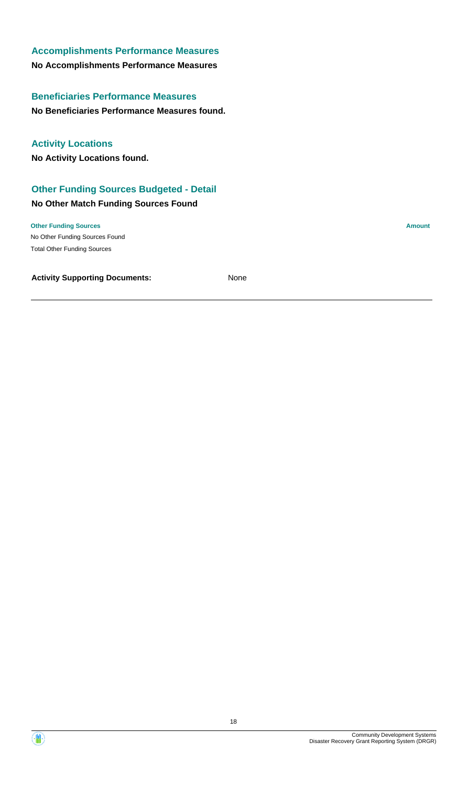**No Beneficiaries Performance Measures found. Beneficiaries Performance Measures**

**No Activity Locations found. Activity Locations**

# **Other Funding Sources Budgeted - Detail**

### **No Other Match Funding Sources Found**

No Other Funding Sources Found **Other Funding Sources Amount** Total Other Funding Sources

**Activity Supporting Documents:** None

18

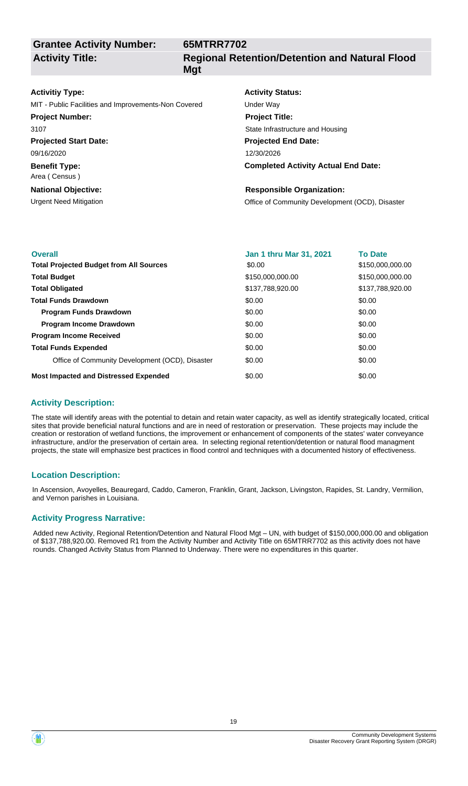**Grantee Activity Number: Activity Title:**

# **65MTRR7702 Regional Retention/Detention and Natural Flood Mgt**

### **Activitiy Type:**

MIT - Public Facilities and Improvements-Non Covered Under Way

**Projected Start Date: Project Number:** 3107

**Benefit Type:** 09/16/2020

Area ( Census )

# **National Objective:**

# **Activity Status:**

**Projected End Date: Completed Activity Actual End Date:** 12/30/2026 **Project Title:** State Infrastructure and Housing

### **Responsible Organization:**

Urgent Need Mitigation **Office of Community Development (OCD)**, Disaster

| <b>Overall</b>                                  | Jan 1 thru Mar 31, 2021 | <b>To Date</b>   |
|-------------------------------------------------|-------------------------|------------------|
|                                                 |                         |                  |
| <b>Total Projected Budget from All Sources</b>  | \$0.00                  | \$150,000,000.00 |
| <b>Total Budget</b>                             | \$150,000,000.00        | \$150,000,000,00 |
| <b>Total Obligated</b>                          | \$137,788,920.00        | \$137,788,920.00 |
| <b>Total Funds Drawdown</b>                     | \$0.00                  | \$0.00           |
| <b>Program Funds Drawdown</b>                   | \$0.00                  | \$0.00           |
| <b>Program Income Drawdown</b>                  | \$0.00                  | \$0.00           |
| <b>Program Income Received</b>                  | \$0.00                  | \$0.00           |
| <b>Total Funds Expended</b>                     | \$0.00                  | \$0.00           |
| Office of Community Development (OCD), Disaster | \$0.00                  | \$0.00           |
| <b>Most Impacted and Distressed Expended</b>    | \$0.00                  | \$0.00           |

# **Activity Description:**

The state will identify areas with the potential to detain and retain water capacity, as well as identify strategically located, critical sites that provide beneficial natural functions and are in need of restoration or preservation. These projects may include the creation or restoration of wetland functions, the improvement or enhancement of components of the states' water conveyance infrastructure, and/or the preservation of certain area. In selecting regional retention/detention or natural flood managment projects, the state will emphasize best practices in flood control and techniques with a documented history of effectiveness.

# **Location Description:**

In Ascension, Avoyelles, Beauregard, Caddo, Cameron, Franklin, Grant, Jackson, Livingston, Rapides, St. Landry, Vermilion, and Vernon parishes in Louisiana.

# **Activity Progress Narrative:**

Added new Activity, Regional Retention/Detention and Natural Flood Mgt – UN, with budget of \$150,000,000.00 and obligation of \$137,788,920.00. Removed R1 from the Activity Number and Activity Title on 65MTRR7702 as this activity does not have rounds. Changed Activity Status from Planned to Underway. There were no expenditures in this quarter.

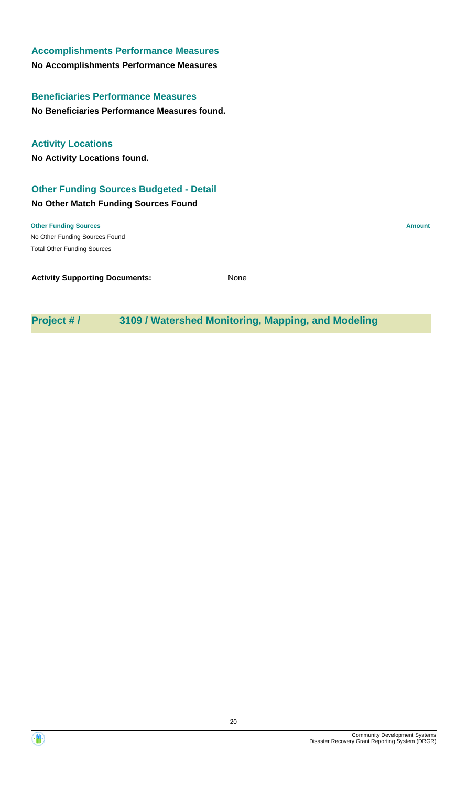| <b>Accomplishments Performance Measures</b>    |               |
|------------------------------------------------|---------------|
| No Accomplishments Performance Measures        |               |
| <b>Beneficiaries Performance Measures</b>      |               |
| No Beneficiaries Performance Measures found.   |               |
| <b>Activity Locations</b>                      |               |
| No Activity Locations found.                   |               |
| <b>Other Funding Sources Budgeted - Detail</b> |               |
| No Other Match Funding Sources Found           |               |
| <b>Other Funding Sources</b>                   | <b>Amount</b> |
| No Other Funding Sources Found                 |               |
| <b>Total Other Funding Sources</b>             |               |
| <b>Activity Supporting Documents:</b>          | None          |
|                                                |               |

**Project # / 3109 / Watershed Monitoring, Mapping, and Modeling**

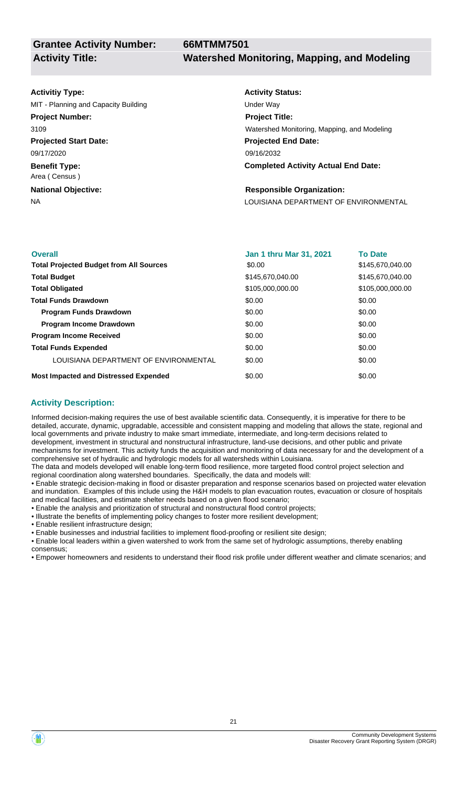**Grantee Activity Number:**

### **Activitiy Type:**

**Projected Start Date:** 09/17/2020 MIT - Planning and Capacity Building Under Way **Project Number:** 3109

**Benefit Type:** Area ( Census )

**National Objective:**

# **Activity Status: Projected End Date: Completed Activity Actual End Date:** 09/16/2032 **Project Title:** Watershed Monitoring, Mapping, and Modeling

### **Responsible Organization:**

NA LOUISIANA DEPARTMENT OF ENVIRONMENTAL

| <b>Overall</b>                                 | <b>Jan 1 thru Mar 31, 2021</b> | <b>To Date</b>   |
|------------------------------------------------|--------------------------------|------------------|
| <b>Total Projected Budget from All Sources</b> | \$0.00                         | \$145,670,040.00 |
| <b>Total Budget</b>                            | \$145,670,040.00               | \$145,670,040.00 |
| <b>Total Obligated</b>                         | \$105,000,000.00               | \$105,000,000,00 |
| <b>Total Funds Drawdown</b>                    | \$0.00                         | \$0.00           |
| <b>Program Funds Drawdown</b>                  | \$0.00                         | \$0.00           |
| <b>Program Income Drawdown</b>                 | \$0.00                         | \$0.00           |
| <b>Program Income Received</b>                 | \$0.00                         | \$0.00           |
| <b>Total Funds Expended</b>                    | \$0.00                         | \$0.00           |
| LOUISIANA DEPARTMENT OF ENVIRONMENTAL          | \$0.00                         | \$0.00           |
| <b>Most Impacted and Distressed Expended</b>   | \$0.00                         | \$0.00           |

# **Activity Description:**

Informed decision-making requires the use of best available scientific data. Consequently, it is imperative for there to be detailed, accurate, dynamic, upgradable, accessible and consistent mapping and modeling that allows the state, regional and local governments and private industry to make smart immediate, intermediate, and long-term decisions related to development, investment in structural and nonstructural infrastructure, land-use decisions, and other public and private mechanisms for investment. This activity funds the acquisition and monitoring of data necessary for and the development of a comprehensive set of hydraulic and hydrologic models for all watersheds within Louisiana.

The data and models developed will enable long-term flood resilience, more targeted flood control project selection and regional coordination along watershed boundaries. Specifically, the data and models will:

• Enable strategic decision-making in flood or disaster preparation and response scenarios based on projected water elevation and inundation. Examples of this include using the H&H models to plan evacuation routes, evacuation or closure of hospitals and medical facilities, and estimate shelter needs based on a given flood scenario;

• Enable the analysis and prioritization of structural and nonstructural flood control projects;

• Illustrate the benefits of implementing policy changes to foster more resilient development;

• Enable resilient infrastructure design;

• Enable businesses and industrial facilities to implement flood-proofing or resilient site design;

• Enable local leaders within a given watershed to work from the same set of hydrologic assumptions, thereby enabling consensus;

• Empower homeowners and residents to understand their flood risk profile under different weather and climate scenarios; and